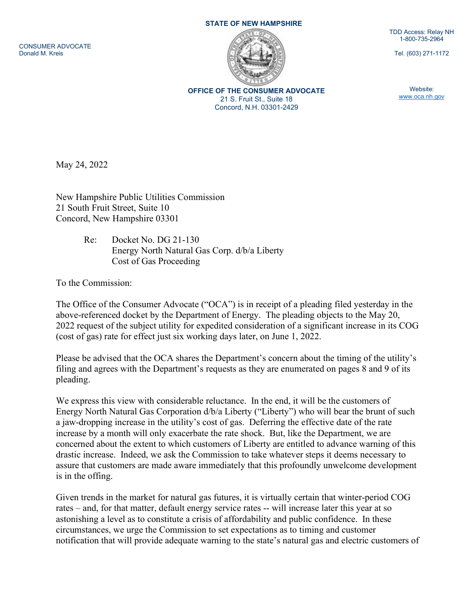CONSUMER ADVOCATE Donald M. Kreis

## STATE OF NEW HAMPSHIRE



OFFICE OF THE CONSUMER ADVOCATE 21 S. Fruit St., Suite 18 Concord, N.H. 03301-2429

TDD Access: Relay NH 1-800-735-2964

Tel. (603) 271-1172

Website: www.oca.nh.gov

May 24, 2022

New Hampshire Public Utilities Commission 21 South Fruit Street, Suite 10 Concord, New Hampshire 03301

> Re: Docket No. DG 21-130 Energy North Natural Gas Corp. d/b/a Liberty Cost of Gas Proceeding

To the Commission:

The Office of the Consumer Advocate ("OCA") is in receipt of a pleading filed yesterday in the above-referenced docket by the Department of Energy. The pleading objects to the May 20, 2022 request of the subject utility for expedited consideration of a significant increase in its COG (cost of gas) rate for effect just six working days later, on June 1, 2022.

Please be advised that the OCA shares the Department's concern about the timing of the utility's filing and agrees with the Department's requests as they are enumerated on pages 8 and 9 of its pleading.

We express this view with considerable reluctance. In the end, it will be the customers of Energy North Natural Gas Corporation d/b/a Liberty ("Liberty") who will bear the brunt of such a jaw-dropping increase in the utility's cost of gas. Deferring the effective date of the rate increase by a month will only exacerbate the rate shock. But, like the Department, we are concerned about the extent to which customers of Liberty are entitled to advance warning of this drastic increase. Indeed, we ask the Commission to take whatever steps it deems necessary to assure that customers are made aware immediately that this profoundly unwelcome development is in the offing.

Given trends in the market for natural gas futures, it is virtually certain that winter-period COG rates – and, for that matter, default energy service rates -- will increase later this year at so astonishing a level as to constitute a crisis of affordability and public confidence. In these circumstances, we urge the Commission to set expectations as to timing and customer notification that will provide adequate warning to the state's natural gas and electric customers of